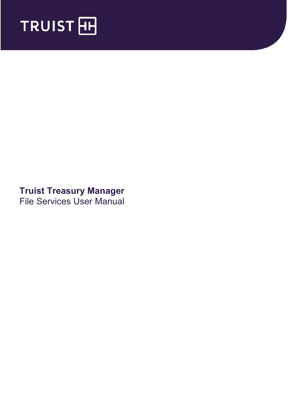

# **Truist Treasury Manager** File Services User Manual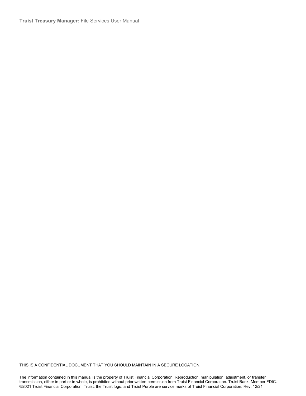**Truist Treasury Manager:** File Services User Manual

THIS IS A CONFIDENTIAL DOCUMENT THAT YOU SHOULD MAINTAIN IN A SECURE LOCATION.

The information contained in this manual is the property of Truist Financial Corporation. Reproduction, manipulation, adjustment, or transfer transmission, either in part or in whole, is prohibited without prior written permission from Truist Financial Corporation. Truist Bank, Member FDIC. ©2021 Truist Financial Corporation. Truist, the Truist logo, and Truist Purple are service marks of Truist Financial Corporation. Rev. 12/21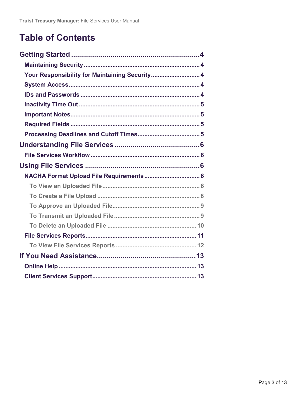# **Table of Contents**

| Your Responsibility for Maintaining Security 4 |  |
|------------------------------------------------|--|
|                                                |  |
|                                                |  |
|                                                |  |
|                                                |  |
|                                                |  |
|                                                |  |
|                                                |  |
|                                                |  |
|                                                |  |
|                                                |  |
| NACHA Format Upload File Requirements 6        |  |
|                                                |  |
|                                                |  |
|                                                |  |
|                                                |  |
|                                                |  |
|                                                |  |
|                                                |  |
|                                                |  |
|                                                |  |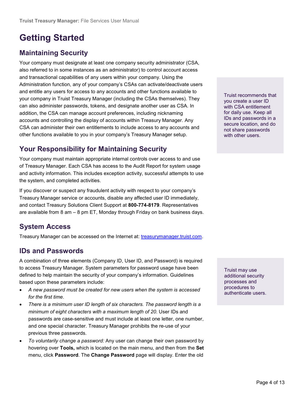# <span id="page-3-0"></span>**Getting Started**

# <span id="page-3-1"></span>**Maintaining Security**

Your company must designate at least one company security administrator (CSA, also referred to in some instances as an administrator) to control account access and transactional capabilities of any users within your company. Using the Administration function, any of your company's CSAs can activate/deactivate users and entitle any users for access to any accounts and other functions available to your company in Truist Treasury Manager (including the CSAs themselves). They can also administer passwords, tokens, and designate another user as CSA. In addition, the CSA can manage account preferences, including nicknaming accounts and controlling the display of accounts within Treasury Manager. Any CSA can administer their own entitlements to include access to any accounts and other functions available to you in your company's Treasury Manager setup.

# <span id="page-3-2"></span>**Your Responsibility for Maintaining Security**

Your company must maintain appropriate internal controls over access to and use of Treasury Manager. Each CSA has access to the Audit Report for system usage and activity information. This includes exception activity, successful attempts to use the system, and completed activities.

If you discover or suspect any fraudulent activity with respect to your company's Treasury Manager service or accounts, disable any affected user ID immediately, and contact Treasury Solutions Client Support at **800-774-8179**. Representatives are available from 8 am – 8 pm ET, Monday through Friday on bank business days.

# <span id="page-3-3"></span>**System Access**

Treasury Manager can be accessed on the Internet at: [treasurymanager.truist.com.](http://www.suntrust.com/sunviewtreasurymanager%20treasurymanager.truist.com)

### <span id="page-3-4"></span>**IDs and Passwords**

A combination of three elements (Company ID, User ID, and Password) is required to access Treasury Manager. System parameters for password usage have been defined to help maintain the security of your company's information. Guidelines based upon these parameters include:

- *A new password must be created for new users when the system is accessed for the first time*.
- *There is a minimum user ID length of six characters. The password length is a minimum of eight characters with a maximum length of 20*. User IDs and passwords are case-sensitive and must include at least one letter, one number, and one special character. Treasury Manager prohibits the re-use of your previous three passwords.
- *To voluntarily change a password:* Any user can change their own password by hovering over **Tools,** which is located on the main menu, and then from the **Set** menu, click **Password**. The **Change Password** page will display. Enter the old

Truist recommends that you create a user ID with CSA entitlement for daily use. Keep all IDs and passwords in a secure location, and do not share passwords with other users.

Truist may use additional security processes and procedures to authenticate users.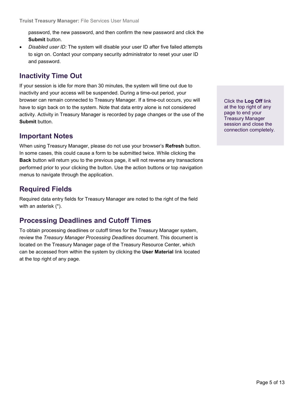password, the new password, and then confirm the new password and click the **Submit** button.

• *Disabled user ID:* The system will disable your user ID after five failed attempts to sign on. Contact your company security administrator to reset your user ID and password.

## <span id="page-4-0"></span>**Inactivity Time Out**

If your session is idle for more than 30 minutes, the system will time out due to inactivity and your access will be suspended. During a time-out period, your browser can remain connected to Treasury Manager. If a time-out occurs, you will have to sign back on to the system. Note that data entry alone is not considered activity. Activity in Treasury Manager is recorded by page changes or the use of the **Submit** button.

### <span id="page-4-1"></span>**Important Notes**

When using Treasury Manager, please do not use your browser's **Refresh** button. In some cases, this could cause a form to be submitted twice. While clicking the **Back** button will return you to the previous page, it will not reverse any transactions performed prior to your clicking the button. Use the action buttons or top navigation menus to navigate through the application.

### <span id="page-4-2"></span>**Required Fields**

Required data entry fields for Treasury Manager are noted to the right of the field with an asterisk (\*).

# <span id="page-4-3"></span>**Processing Deadlines and Cutoff Times**

To obtain processing deadlines or cutoff times for the Treasury Manager system, review the *Treasury Manager Processing Deadlines* document. This document is located on the Treasury Manager page of the Treasury Resource Center, which can be accessed from within the system by clicking the **User Material** link located at the top right of any page.

Click the **Log Off** link at the top right of any page to end your Treasury Manager session and close the connection completely.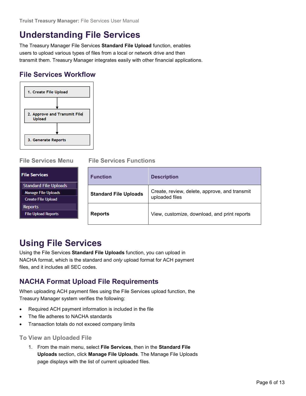# <span id="page-5-0"></span>**Understanding File Services**

The Treasury Manager File Services **Standard File Upload** function, enables users to upload various types of files from a local or network drive and then transmit them. Treasury Manager integrates easily with other financial applications.

### <span id="page-5-1"></span>**File Services Workflow**



**File Services** 

**Standard File** Manage File Up **Create File Up** 

**Reports File Upload Re** 

**File Services Menu File Services Functions**

|                                       | <b>Function</b>              | <b>Description</b>                                              |  |  |  |  |
|---------------------------------------|------------------------------|-----------------------------------------------------------------|--|--|--|--|
| <b>Uploads</b><br><b>loads</b><br>oad | <b>Standard File Uploads</b> | Create, review, delete, approve, and transmit<br>uploaded files |  |  |  |  |
| <b>ports</b>                          | <b>Reports</b>               | View, customize, download, and print reports                    |  |  |  |  |

# <span id="page-5-2"></span>**Using File Services**

Using the File Services **Standard File Uploads** function, you can upload in NACHA format, which is the standard and *only* upload format for ACH payment files, and it includes all SEC codes.

# <span id="page-5-3"></span>**NACHA Format Upload File Requirements**

When uploading ACH payment files using the File Services upload function, the Treasury Manager system verifies the following:

- Required ACH payment information is included in the file
- The file adheres to NACHA standards
- Transaction totals do not exceed company limits

#### <span id="page-5-4"></span>**To View an Uploaded File**

1. From the main menu, select **File Services**, then in the **Standard File Uploads** section, click **Manage File Uploads**. The Manage File Uploads page displays with the list of current uploaded files.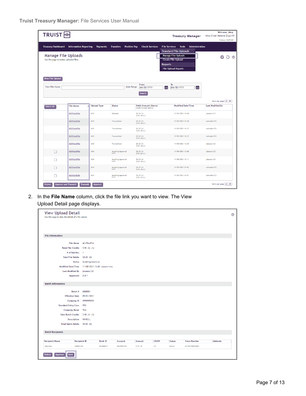| <b>TRUIST</b> <sub>H</sub>                                                               |                              |                    | <b>Treasury Manager</b>                | Welcome, Mary<br>Inbox   User Material   Log Off<br>Timeout: 0:27:16 |                                                                                                         |                           |
|------------------------------------------------------------------------------------------|------------------------------|--------------------|----------------------------------------|----------------------------------------------------------------------|---------------------------------------------------------------------------------------------------------|---------------------------|
| <b>Treasury Dashboard</b>                                                                | <b>Information Reporting</b> | <b>Payments</b>    | <b>Transfers</b>                       | <b>Check Services</b><br><b>Positive Pay</b>                         | <b>File Services</b><br><b>Administration</b><br><b>Tools</b><br><b>Standard File Uploads</b>           |                           |
| Manage File Uploads<br>Use this page to review uploaded files.<br><b>New File Upload</b> |                              |                    |                                        |                                                                      | <b>Manage File Uploads</b><br><b>Create File Upload</b><br><b>Reports</b><br><b>File Upload Reports</b> | ີ ຄ                       |
| View File Name                                                                           |                              |                    |                                        | From<br>Date Range<br>MM/DD/YYYY<br>Search                           | To<br>旨<br>MM/DD/YYYY<br>同                                                                              |                           |
|                                                                                          |                              |                    |                                        |                                                                      |                                                                                                         | Items per page $(10 \no)$ |
| Select All                                                                               | <b>File Name</b>             | <b>Upload Type</b> | <b>Status</b>                          | <b>Debit Amount (Items)</b><br>Credit Amount (Items)                 | <b>Modified Date/Time</b>                                                                               | <b>Last Modified By</b>   |
|                                                                                          | <b>ACHTestFile</b>           | <b>ACH</b>         | Deleted                                | 50,00(0)<br>\$181.24 (1)                                             | 11/05/2021 16:06                                                                                        | idoeabc123                |
|                                                                                          | <b>ACHTestFile</b>           | <b>ACH</b>         | Transmitted                            | \$0.00(0)<br>\$181.24(1)                                             | 11/05/2021 16:38                                                                                        | mdoeabc123                |
|                                                                                          | <b>ACHTestFile</b>           | <b>ACH</b>         | Transmitted                            | \$0,00 (0)<br>\$181.24(1)                                            | 11/05/2021 16:37                                                                                        | mdoeabc123                |
|                                                                                          | <b>ACHTestFile</b>           | <b>ACH</b>         | Transmitted                            | SO.00(0)<br>\$181.24(1)                                              | 11/05/2021 16:37                                                                                        | mdoeabc123                |
|                                                                                          | <b>ACHTestFile</b>           | <b>ACH</b>         | Transmitted                            | 50.00(0)<br>\$181.24(1)                                              | 11/08/2021 13:25                                                                                        | jdoeabc123                |
| г                                                                                        | <b>ACHTestFile</b>           | <b>ACH</b>         | <b>Awaiting Approval</b><br>$0$ of $1$ | 50.00(0)<br>\$181.24(1)                                              | 11/08/2021 13:08                                                                                        | jdoeabc123                |
| Е                                                                                        | <b>ACHTestFile</b>           | <b>ACH</b>         | <b>Awaiting Approval</b><br>$0$ of $1$ | 50.00(0)<br>\$181.24(1)                                              | 11/08/2021 13:11                                                                                        | jdoeabc123                |
| П                                                                                        | <b>ACHTestFile</b>           | <b>ACH</b>         | <b>Awaiting Approval</b><br>$0$ of $1$ | 50.00(0)<br>\$181.24(1)                                              | 11/09/2021 09:47                                                                                        | mdoeabc123                |
| Е                                                                                        | <b>ACHTestFile</b>           | <b>ACH</b>         | <b>Awaiting Approval</b><br>$0$ of $1$ | 50.00(0)<br>\$181.24(1)                                              | 11/09/2021 09:51                                                                                        | mdoeabc123                |
| <b>Delete</b><br><b>Approve and Transmit</b>                                             | <b>Transmit</b>              | Approve            |                                        |                                                                      |                                                                                                         | Items per page 10 V       |

2. In the **File Name** column, click the file link you want to view. The View Upload Detail page displays.

| View Upload Detail<br>Use this page to view the details of a file upload. |                                           |                                 |            |          |              |               |                     | $^{\circledR}$ |
|---------------------------------------------------------------------------|-------------------------------------------|---------------------------------|------------|----------|--------------|---------------|---------------------|----------------|
|                                                                           |                                           |                                 |            |          |              |               |                     |                |
| <b>File Information</b>                                                   |                                           |                                 |            |          |              |               |                     |                |
| <b>File Name</b>                                                          | ACHTestFile                               |                                 |            |          |              |               |                     |                |
| <b>Total File Credits</b>                                                 | \$181.24(1)                               |                                 |            |          |              |               |                     |                |
| # of Batches                                                              | $\overline{1}$                            |                                 |            |          |              |               |                     |                |
| <b>Total File Debits</b>                                                  | \$0.00(0)                                 |                                 |            |          |              |               |                     |                |
|                                                                           | <b>Status</b><br><b>Awaiting Approval</b> |                                 |            |          |              |               |                     |                |
| <b>Modified Date/Time</b>                                                 |                                           | 11/08/2021 13:08 (Eastern Time) |            |          |              |               |                     |                |
| <b>Last Modified By</b>                                                   | jdoeabc123                                |                                 |            |          |              |               |                     |                |
|                                                                           | Approvals 0 of 1                          |                                 |            |          |              |               |                     |                |
|                                                                           |                                           |                                 |            |          |              |               |                     |                |
| <b>Batch Information</b>                                                  |                                           |                                 |            |          |              |               |                     |                |
| Batch #                                                                   | 0000001                                   |                                 |            |          |              |               |                     |                |
| <b>Effective Date</b>                                                     | 09/01/2021                                |                                 |            |          |              |               |                     |                |
| <b>Company ID</b>                                                         | 9999999999                                |                                 |            |          |              |               |                     |                |
| <b>Standard Entry Class</b>                                               | <b>PPD</b>                                |                                 |            |          |              |               |                     |                |
| <b>Company Name</b>                                                       | Test                                      |                                 |            |          |              |               |                     |                |
| <b>Total Batch Credits</b>                                                | \$181.24(1)                               |                                 |            |          |              |               |                     |                |
| <b>Description</b>                                                        | <b>PAYROLL</b>                            |                                 |            |          |              |               |                     |                |
| <b>Total Batch Debits</b>                                                 | 50.00(0)                                  |                                 |            |          |              |               |                     |                |
|                                                                           |                                           |                                 |            |          |              |               |                     |                |
| <b>Batch Recipients</b>                                                   |                                           |                                 |            |          |              |               |                     |                |
| <b>Recipient Name</b>                                                     | <b>Recipient ID</b>                       | <b>Bank ID</b>                  | Account    | Amount   | <b>CR/DR</b> | <b>Status</b> | <b>Trace Number</b> | Addenda        |
| John Dow                                                                  | 000000336                                 | 064000017                       | 0000987654 | \$181.24 | CR           | Active        | 061000100000001     |                |
| <b>Back</b><br><b>Delete</b><br><b>Approve</b>                            |                                           |                                 |            |          |              |               |                     |                |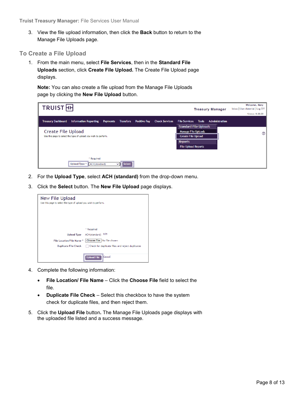3. View the file upload information, then click the **Back** button to return to the Manage File Uploads page.

#### <span id="page-7-0"></span>**To Create a File Upload**

1. From the main menu, select **File Services**, then in the **Standard File Uploads** section, click **Create File Upload.** The Create File Upload page displays.

**Note:** You can also create a file upload from the Manage File Uploads page by clicking the **New File Upload** button.

| <b>TRUIST HH</b>          |                                                                 |                 |                        |                     |                       |                                                                                                         |              | <b>Treasury Manager</b> | Welcome, Mary<br>Inbox   User Material   Log Off |
|---------------------------|-----------------------------------------------------------------|-----------------|------------------------|---------------------|-----------------------|---------------------------------------------------------------------------------------------------------|--------------|-------------------------|--------------------------------------------------|
|                           |                                                                 |                 |                        |                     |                       |                                                                                                         |              |                         | Timeout: 0:28:59                                 |
| <b>Treasury Dashboard</b> | <b>Information Reporting</b>                                    | <b>Payments</b> | <b>Transfers</b>       | <b>Positive Pay</b> | <b>Check Services</b> | <b>File Services</b><br><b>Standard File Uploads</b>                                                    | <b>Tools</b> | <b>Administration</b>   |                                                  |
| Create File Upload        | Use this page to select the type of upload you wish to perform. |                 |                        |                     |                       | <b>Manage File Uploads</b><br><b>Create File Upload</b><br><b>Reports</b><br><b>File Upload Reports</b> |              |                         | $^{\circledR}$                                   |
|                           | * Required<br>Upload Type *<br>ACH(standard)                    |                 | Select<br>$\checkmark$ |                     |                       |                                                                                                         |              |                         |                                                  |

- 2. For the **Upload Type**, select **ACH (standard)** from the drop-down menu.
- 3. Click the **Select** button. The **New File Upload** page displays.

| New File Upload<br>Use this page to select the type of upload you wish to perform. |                                                 |  |  |  |  |  |  |  |
|------------------------------------------------------------------------------------|-------------------------------------------------|--|--|--|--|--|--|--|
| <b>Upload Type</b>                                                                 | * Required<br><u>Edit</u><br>ACH(standard)      |  |  |  |  |  |  |  |
| File Location/File Name *                                                          | Choose File No file chosen                      |  |  |  |  |  |  |  |
| <b>Duplicate File Check</b>                                                        | Check for duplicate files and reject duplicates |  |  |  |  |  |  |  |
|                                                                                    | <b>Cancel</b><br><b>Upload File</b>             |  |  |  |  |  |  |  |

- 4. Complete the following information:
	- **File Location/ File Name**  Click the **Choose File** field to select the file.
	- **Duplicate File Check**  Select this checkbox to have the system check for duplicate files, and then reject them.
- 5. Click the **Upload File** button**.** The Manage File Uploads page displays with the uploaded file listed and a success message.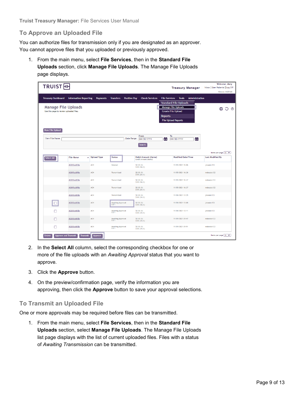### <span id="page-8-0"></span>**To Approve an Uploaded File**

You can authorize files for transmission only if you are designated as an approver. You cannot approve files that you uploaded or previously approved.

1. From the main menu, select **File Services**, then in the **Standard File Uploads** section, click **Manage File Uploads**. The Manage File Uploads page displays.

| <b>TRUIST</b> <sub>H</sub>                                                               |                              |                 |                                        |                     |                                                      | <b>Treasury Manager</b>                                                                                 | Welcome, Mary<br>Inbox   User Material   Log Off<br>Timeout: 0:27:16 |
|------------------------------------------------------------------------------------------|------------------------------|-----------------|----------------------------------------|---------------------|------------------------------------------------------|---------------------------------------------------------------------------------------------------------|----------------------------------------------------------------------|
| <b>Treasury Dashboard</b>                                                                | <b>Information Reporting</b> | <b>Payments</b> | <b>Transfers</b>                       | <b>Positive Pay</b> | <b>Check Services</b>                                | <b>File Services</b><br><b>Tools</b><br><b>Administration</b><br><b>Standard File Uploads</b>           |                                                                      |
| Manage File Uploads<br>Use this page to review uploaded files.<br><b>New File Upload</b> |                              |                 |                                        |                     |                                                      | <b>Manage File Uploads</b><br><b>Create File Upload</b><br><b>Reports</b><br><b>File Upload Reports</b> | ට ග                                                                  |
| View File Name                                                                           |                              |                 |                                        | Date Range          | From<br>MM/DD/YYYY                                   | To<br>MM/DD/YYYY<br>盲<br>盲                                                                              |                                                                      |
|                                                                                          |                              |                 |                                        |                     | Search                                               |                                                                                                         | Items per page $(10 - \sqrt{ } )$                                    |
| Select All                                                                               | <b>File Name</b>             | No Upload Type  | <b>Status</b>                          |                     | <b>Debit Amount (Items)</b><br>Credit Amount (Items) | <b>Modified Date/Time</b>                                                                               | <b>Last Modified By</b>                                              |
|                                                                                          | <b>ACHTestFile</b>           | <b>ACH</b>      | Deleted                                |                     | 50.00(0)<br>\$181.24(1)                              | 11/05/2021 16:06                                                                                        | idoeabc123                                                           |
|                                                                                          | <b>ACHTestFile</b>           | ACH             | Transmitted                            |                     | \$0.00(0)<br>\$181.24(1)                             | 11/05/2021 16:38                                                                                        | mdoeabc123                                                           |
|                                                                                          | <b>ACHTestFile</b>           | <b>ACH</b>      | Transmitted                            |                     | 50.00(0)<br>\$181.24(1)                              | 11/05/2021 16:37                                                                                        | mdoeabc123                                                           |
|                                                                                          | <b>ACHTestFile</b>           | ACH             | Transmitted                            |                     | 50.00(0)<br>\$181.24(1)                              | 11/05/2021 16:37                                                                                        | mdoeabc123                                                           |
|                                                                                          | <b>ACHTestFile</b>           | <b>ACH</b>      | Transmitted                            |                     | 50.00(0)<br>\$181.24(1)                              | 11/08/2021 13:25                                                                                        | jdoeabc123                                                           |
| o                                                                                        | <b>ACHTestFile</b>           | <b>ACH</b>      | <b>Awaiting Approval</b><br>$0$ of $1$ |                     | 50,00(0)<br>\$181.24(1)                              | 11/08/2021 13:08                                                                                        | jdoeabc123                                                           |
|                                                                                          | <b>ACHTestFile</b>           | ACH             | <b>Awaiting Approval</b><br>$0$ of $1$ |                     | \$0.00(0)<br>\$181.24(1)                             | 11/08/2021 13:11                                                                                        | jdoeabc123                                                           |
| П                                                                                        | <b>ACHTestFile</b>           | ACH             | <b>Awaiting Approval</b><br>$0$ of $1$ |                     | 50.00(0)<br>\$181.24(1)                              | 11/09/2021 09:47                                                                                        | mdoeabc123                                                           |
| П                                                                                        | <b>ACHTestFile</b>           | <b>ACH</b>      | <b>Awaiting Approval</b><br>$0$ of $1$ |                     | 50.00(0)<br>\$181.24(1)                              | 11/09/2021 09:51                                                                                        | mdoeabc123                                                           |
| <b>Delete</b><br><b>Approve and Transmit</b>                                             | <b>Transmit</b>              | Approve         |                                        |                     |                                                      |                                                                                                         | Items per page 10 V                                                  |

- 2. In the **Select All** column, select the corresponding checkbox for one or more of the file uploads with an *Awaiting Approval* status that you want to approve.
- 3. Click the **Approve** button.
- 4. On the preview/confirmation page, verify the information you are approving, then click the **Approve** button to save your approval selections.

#### <span id="page-8-1"></span>**To Transmit an Uploaded File**

One or more approvals may be required before files can be transmitted.

1. From the main menu, select **File Services**, then in the **Standard File Uploads** section, select **Manage File Uploads**. The Manage File Uploads list page displays with the list of current uploaded files. Files with a status of *Awaiting Transmission* can be transmitted.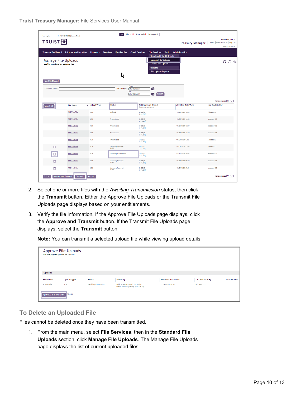| - Last Login:<br><b>TRUIST</b> <sub>H</sub>                                              | 12/16/2021 15:38 (Eastern Time) |                                     | $\checkmark$                    | Alerts 16 Approvals 2 Messages 0       |                                                                                                                                         |                                       | <b>Treasury Manager</b>   | Inbox   User Material   Log Off | Welcome, Mary<br>Timeout: 0:29:14 |
|------------------------------------------------------------------------------------------|---------------------------------|-------------------------------------|---------------------------------|----------------------------------------|-----------------------------------------------------------------------------------------------------------------------------------------|---------------------------------------|---------------------------|---------------------------------|-----------------------------------|
| <b>Treasury Dashboard</b>                                                                | <b>Information Reporting</b>    | <b>Payments</b><br><b>Transfers</b> | <b>Positive Pay</b>             | <b>Check Services</b>                  | <b>File Services</b>                                                                                                                    | <b>Tools</b><br><b>Administration</b> |                           |                                 |                                   |
| Manage File Uploads<br>Use this page to review uploaded files.<br><b>New File Upload</b> |                                 |                                     | ば                               |                                        | <b>Standard File Uploads</b><br><b>Manage File Uploads</b><br><b>Create File Upload</b><br><b>Reports</b><br><b>File Upload Reports</b> |                                       |                           |                                 | OC                                |
| View File Name                                                                           |                                 |                                     | Date Range                      | From<br>MM/DD/YYYY<br>To<br>MM/DD/YYYY | 箇<br>固<br>Search                                                                                                                        |                                       |                           | Items per page 10               |                                   |
| Select All                                                                               | <b>File Name</b>                | No Upload Type                      | <b>Status</b>                   | Credit Amount (Items)                  | <b>Debit Amount (Items)</b>                                                                                                             |                                       | <b>Modified Date/Time</b> | <b>Last Modified By</b>         |                                   |
|                                                                                          | <b>ACHTestFile</b>              | <b>ACH</b>                          | Deleted                         | \$0.00(0)<br>\$181.24(1)               |                                                                                                                                         | 11/05/2021 16:06                      |                           | jdoeabc123                      |                                   |
|                                                                                          | <b>ACHTestFile</b>              | ACH                                 | Transmitted                     | \$0.00(0)<br>\$181.24(1)               |                                                                                                                                         | 11/05/2021 16:38                      |                           | mdoeabc123                      |                                   |
|                                                                                          | <b>ACHTestFile</b>              | <b>ACH</b>                          | Transmitted                     | \$0.00(0)<br>\$181.24(1)               |                                                                                                                                         | 11/05/2021 16:37                      |                           | mdoeabc123                      |                                   |
|                                                                                          | <b>ACHTestFile</b>              | ACH                                 | Transmitted                     | \$0.00(0)<br>\$181.24(1)               |                                                                                                                                         | 11/05/2021 16:37                      |                           | mdoeabc123                      |                                   |
|                                                                                          | <b>ACHTestFile</b>              | <b>ACH</b>                          | Transmitted                     | \$0,00 (0)<br>\$181.24(1)              |                                                                                                                                         | 11/08/2021 13:25                      |                           | jdoeabc123                      |                                   |
| □                                                                                        | <b>ACHTestFile</b>              | <b>ACH</b>                          | Awaiting Approval<br>$0$ of $1$ | \$0.00(0)<br>\$181.24(1)               |                                                                                                                                         | 11/08/2021 13:08                      |                           | jdoeabc123                      |                                   |
| □                                                                                        | <b>ACHTestFile</b>              | <b>ACH</b>                          | <b>Awaiting Transmission</b>    | \$0.00 (0)<br>\$181.24(1)              |                                                                                                                                         | 12/16/2021 19:03                      |                           | mdoeabc123                      |                                   |
| □                                                                                        | <b>ACHTestFile</b>              | ACH                                 | Awaiting Approval<br>$0$ of 1   | \$0.00(0)<br>\$181.24(1)               |                                                                                                                                         | 11/09/2021 09:47                      |                           | mdoeabc123                      |                                   |
| □                                                                                        | <b>ACHTestFile</b>              | <b>ACH</b>                          | Awaiting Approval<br>$0$ of 1   | \$0.00(0)<br>\$181.24(1)               |                                                                                                                                         | 11/09/2021 09:51                      |                           | mdoeabc123                      |                                   |
| <b>Delete</b><br><b>Approve and Transmit</b>                                             | <b>Transmit</b>                 | Approve                             |                                 |                                        |                                                                                                                                         |                                       |                           | Items per page (10 V)           |                                   |

- 2. Select one or more files with the *Awaiting Transmission* status, then click the **Transmit** button. Either the Approve File Uploads or the Transmit File Uploads page displays based on your entitlements.
- 3. Verify the file information. If the Approve File Uploads page displays, click the **Approve and Transmit** button. If the Transmit File Uploads page displays, select the **Transmit** button.

**Note:** You can transmit a selected upload file while viewing upload details.

| Approve File Uploads<br>Use this page to approve file uploads. |                                |                       |                                                                         |                           |                         |                     |  |  |  |  |
|----------------------------------------------------------------|--------------------------------|-----------------------|-------------------------------------------------------------------------|---------------------------|-------------------------|---------------------|--|--|--|--|
| <b>Uploads</b>                                                 |                                |                       |                                                                         |                           |                         |                     |  |  |  |  |
|                                                                |                                |                       |                                                                         |                           |                         |                     |  |  |  |  |
| <b>File Name</b>                                               | <b>Upload Type</b>             | <b>Status</b>         | Summary                                                                 | <b>Modified Date/Time</b> | <b>Last Modified By</b> | <b>Total Amount</b> |  |  |  |  |
| ACHTestFile                                                    | <b>ACH</b>                     | Awaiting Transmission | Debit Amount (Items): \$0.00 (0)<br>Credit Amount (Items): \$181.24 (1) | 12/16/2021 19:03          | mdoeabc123              |                     |  |  |  |  |
|                                                                | Cancel<br>Approve and Transmit |                       |                                                                         |                           |                         |                     |  |  |  |  |

#### <span id="page-9-0"></span>**To Delete an Uploaded File**

Files cannot be deleted once they have been transmitted.

1. From the main menu, select **File Services**, then in the **Standard File Uploads** section, click **Manage File Uploads**. The Manage File Uploads page displays the list of current uploaded files.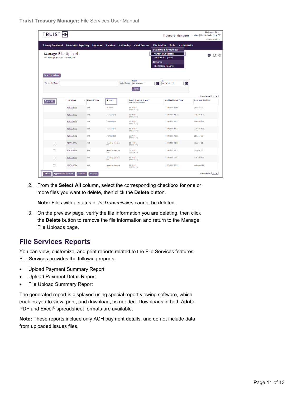| <b>TRUIST</b> <sub>H</sub>                                                               |                                                |                 |                                        |                                                      | <b>Treasury Manager</b>                                                                                 | Welcome, Mary<br>Inbox   User Material   Log Off<br>Timeout: 0:27:16 |
|------------------------------------------------------------------------------------------|------------------------------------------------|-----------------|----------------------------------------|------------------------------------------------------|---------------------------------------------------------------------------------------------------------|----------------------------------------------------------------------|
| <b>Treasury Dashboard</b>                                                                | <b>Information Reporting</b>                   | <b>Payments</b> | <b>Transfers</b>                       | <b>Positive Pay</b><br><b>Check Services</b>         | <b>File Services</b><br><b>Tools</b><br><b>Administration</b><br><b>Standard File Uploads</b>           |                                                                      |
| Manage File Uploads<br>Use this page to review uploaded files.<br><b>New File Upload</b> |                                                |                 |                                        |                                                      | <b>Manage File Uploads</b><br><b>Create File Upload</b><br><b>Reports</b><br><b>File Upload Reports</b> | $\odot$                                                              |
| View File Name                                                                           |                                                |                 |                                        | From<br>Date Range<br>MM/DD/YYYY<br>Search           | To<br>旨<br>同<br>MM/DD/YYYY                                                                              |                                                                      |
|                                                                                          |                                                |                 |                                        |                                                      |                                                                                                         | Items per page 10 V                                                  |
| Select All                                                                               | <b>File Name</b>                               | No Upload Type  | <b>Status</b>                          | <b>Debit Amount (Items)</b><br>Credit Amount (Items) | <b>Modified Date/Time</b>                                                                               | <b>Last Modified By</b>                                              |
|                                                                                          | <b>ACHTestFile</b>                             | <b>ACH</b>      | Deleted                                | \$0.00(0)<br>\$181.24(1)                             | 11/05/2021 16:06                                                                                        | jdoeabc123                                                           |
|                                                                                          | <b>ACHTestFile</b>                             | <b>ACH</b>      | Transmitted                            | 50.00(0)<br>\$181.24(1)                              | 11/05/2021 16:38                                                                                        | mdoeabc123                                                           |
|                                                                                          | <b>ACHTestFile</b>                             | <b>ACH</b>      | Transmitted                            | \$0.00 (0)<br>\$181.24(1)                            | 11/05/2021 16:37                                                                                        | mdoeabc123                                                           |
|                                                                                          | <b>ACHTestFile</b>                             | ACH             | Transmitted                            | \$0.00(0)<br>\$181.24(1)                             | 11/05/2021 16:37                                                                                        | mdoeabc123                                                           |
|                                                                                          | <b>ACHTestFile</b>                             | <b>ACH</b>      | Transmitted                            | 50,00(0)<br>\$181.24(1)                              | 11/08/2021 13:25                                                                                        | jdoeabc123                                                           |
| с                                                                                        | <b>ACHTestFile</b>                             | <b>ACH</b>      | <b>Awaiting Approval</b><br>$0$ of $1$ | 50.00(0)<br>\$181.24(1)                              | 11/08/2021 13:08                                                                                        | jdoeabc123                                                           |
| П                                                                                        | <b>ACHTestFile</b>                             | <b>ACH</b>      | <b>Awaiting Approval</b><br>$0$ of $1$ | \$0.00(0)<br>\$181.24(1)                             | 11/08/2021 13:11                                                                                        | jdoeabc123                                                           |
|                                                                                          | <b>ACHTestFile</b>                             | <b>ACH</b>      | <b>Awaiting Approval</b><br>$0$ of $1$ | 50.00(0)<br>\$181.24(1)                              | 11/09/2021 09:47                                                                                        | mdoeabc123                                                           |
| □                                                                                        | <b>ACHTestFile</b>                             | <b>ACH</b>      | <b>Awaiting Approval</b><br>$0$ of $1$ | \$0.00(0)<br>\$181.24(1)                             | 11/09/2021 09:51                                                                                        | mdoeabc123                                                           |
| <b>Delete</b>                                                                            | <b>Approve and Transmit</b><br><b>Transmit</b> | Approve         |                                        |                                                      |                                                                                                         | Items per page 10 V                                                  |

2. From the **Select All** column, select the corresponding checkbox for one or more files you want to delete, then click the **Delete** button.

**Note:** Files with a status of *In Transmission* cannot be deleted.

3. On the preview page, verify the file information you are deleting, then click the **Delete** button to remove the file information and return to the Manage File Uploads page.

### <span id="page-10-0"></span>**File Services Reports**

You can view, customize, and print reports related to the File Services features. File Services provides the following reports:

- Upload Payment Summary Report
- Upload Payment Detail Report
- File Upload Summary Report

The generated report is displayed using special report viewing software, which enables you to view, print, and download, as needed. Downloads in both Adobe PDF and Excel® spreadsheet formats are available.

**Note:** These reports include only ACH payment details, and do not include data from uploaded issues files.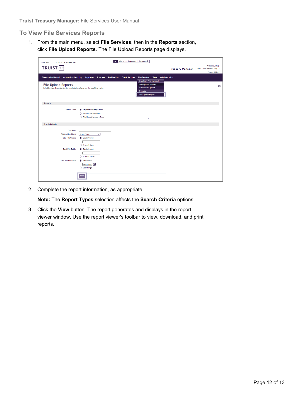#### <span id="page-11-0"></span>**To View File Services Reports**

1. From the main menu, select **File Services**, then in the **Reports** section, click **File Upload Reports**. The File Upload Reports page displays.

|                                                                                                                        |                                                                                  | Alerts 16 Approvals 1 Messages 0<br>$\checkmark$ |                                                                                                         |                         |                                                                      |
|------------------------------------------------------------------------------------------------------------------------|----------------------------------------------------------------------------------|--------------------------------------------------|---------------------------------------------------------------------------------------------------------|-------------------------|----------------------------------------------------------------------|
| - Last Login:<br>12/16/2021 15:38 (Eastern Time)<br>TRUIST <sub>H</sub>                                                |                                                                                  |                                                  |                                                                                                         | <b>Treasury Manager</b> | Welcome, Mary<br>Inbox   User Material   Log Off<br>Timeout: 0:29:45 |
| Treasury Dashboard Information Reporting Payments Transfers Positive Pay Check Services                                |                                                                                  |                                                  | <b>File Services</b> Tools Administration<br><b>Standard File Uploads</b>                               |                         |                                                                      |
| <b>File Upload Reports</b><br>Select the type of report and enter or select criteria to narrow the report information. |                                                                                  |                                                  | <b>Manage File Uploads</b><br><b>Create File Upload</b><br><b>Reports</b><br><b>File Upload Reports</b> |                         | $^{\circ}$                                                           |
| <b>Reports</b>                                                                                                         |                                                                                  |                                                  |                                                                                                         |                         |                                                                      |
| <b>Report Types</b>                                                                                                    | Report Summary Report<br>◯ Payment Detail Report<br>◯ File Upload Summary Report |                                                  | ×                                                                                                       |                         |                                                                      |
| <b>Search Criteria</b>                                                                                                 |                                                                                  |                                                  |                                                                                                         |                         |                                                                      |
| <b>File Name</b>                                                                                                       |                                                                                  |                                                  |                                                                                                         |                         |                                                                      |
| <b>Transaction Status</b>                                                                                              | Select Status<br>$\checkmark$                                                    |                                                  |                                                                                                         |                         |                                                                      |
| <b>Total File Credits</b>                                                                                              | Single Amount<br>◯ Amount Range                                                  |                                                  |                                                                                                         |                         |                                                                      |
| <b>Total File Debits</b>                                                                                               | Single Amount<br>Amount Range<br>∩                                               |                                                  |                                                                                                         |                         |                                                                      |
| <b>Last Modified Date</b>                                                                                              | Single Date<br>MM/DD/YYI 日<br>◯ Date Range<br><b>View</b>                        |                                                  |                                                                                                         |                         |                                                                      |

2. Complete the report information, as appropriate.

**Note:** The **Report Types** selection affects the **Search Criteria** options.

3. Click the **View** button. The report generates and displays in the report viewer window. Use the report viewer's toolbar to view, download, and print reports.